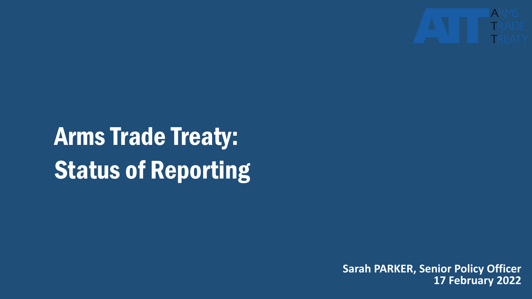

# Arms Trade Treaty: Status of Reporting

**Sarah PARKER, Senior Policy Officer 17 February 2022**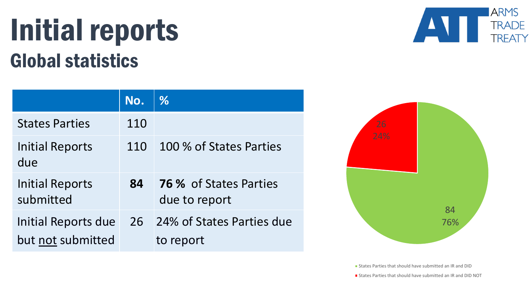#### Initial reports Global statistics

|                                          | No. | $\frac{0}{6}$                                  |
|------------------------------------------|-----|------------------------------------------------|
| <b>States Parties</b>                    | 110 |                                                |
| <b>Initial Reports</b><br>due            | 110 | 100 % of States Parties                        |
| <b>Initial Reports</b><br>submitted      | 84  | <b>76 % of States Parties</b><br>due to report |
| Initial Reports due<br>but not submitted | 26  | 24% of States Parties due<br>to report         |





**States Parties that should have submitted an IR and DID** 

**States Parties that should have submitted an IR and DID NOT**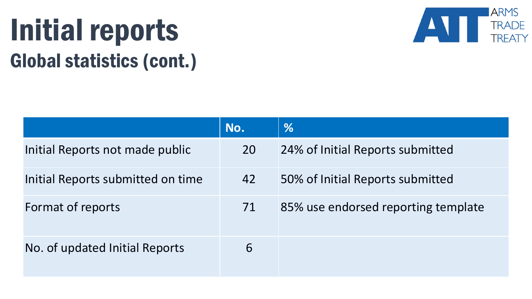# Initial reports Global statistics (cont.)



|                                   | No. | %                                   |
|-----------------------------------|-----|-------------------------------------|
| Initial Reports not made public   | 20  | 24% of Initial Reports submitted    |
| Initial Reports submitted on time | 42  | 50% of Initial Reports submitted    |
| Format of reports                 | 71  | 85% use endorsed reporting template |
| No. of updated Initial Reports    | 6   |                                     |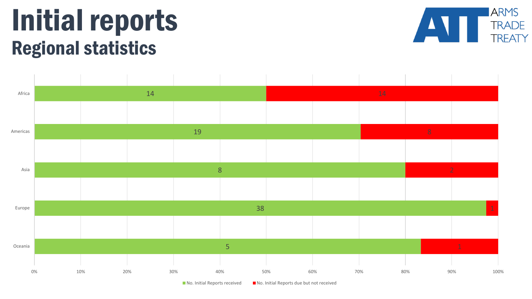#### Initial reports Regional statistics



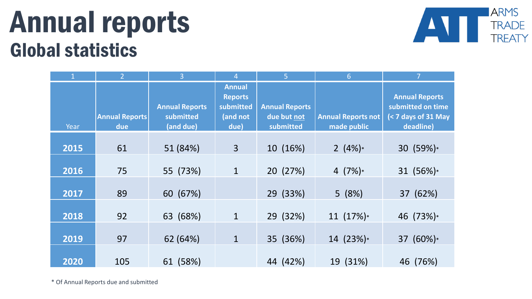#### Annual reports Global statistics



|      | $\overline{2}$               | 3                                               | Δ                                                                | 5                                                 | 6                                        |                                                                                             |
|------|------------------------------|-------------------------------------------------|------------------------------------------------------------------|---------------------------------------------------|------------------------------------------|---------------------------------------------------------------------------------------------|
| Year | <b>Annual Reports</b><br>due | <b>Annual Reports</b><br>submitted<br>(and due) | <b>Annual</b><br><b>Reports</b><br>submitted<br>(and not<br>due) | <b>Annual Reports</b><br>due but not<br>submitted | <b>Annual Reports not</b><br>made public | <b>Annual Reports</b><br>submitted on time<br>$(7 \text{ days of } 31 \text{ May}deadline)$ |
| 2015 | 61                           | 51 (84%)                                        | $\overline{3}$                                                   | 10 (16%)                                          | 2 $(4\%)*$                               | 30 (59%)*                                                                                   |
| 2016 | 75                           | 55 (73%)                                        | $\mathbf{1}$                                                     | 20 (27%)                                          | 4 $(7%)^*$                               | 31 (56%)*                                                                                   |
| 2017 | 89                           | 60 (67%)                                        |                                                                  | 29 (33%)                                          | 5(8%)                                    | 37 (62%)                                                                                    |
| 2018 | 92                           | 63 (68%)                                        | $\mathbf{1}$                                                     | 29 (32%)                                          | 11(17%)                                  | 46 (73%)*                                                                                   |
| 2019 | 97                           | 62 (64%)                                        | $\mathbf{1}$                                                     | 35 (36%)                                          | $14(23%)*$                               | 37 (60%)*                                                                                   |
| 2020 | 105                          | 61 (58%)                                        |                                                                  | 44 (42%)                                          | 19 (31%)                                 | 46 (76%)                                                                                    |

\* Of Annual Reports due and submitted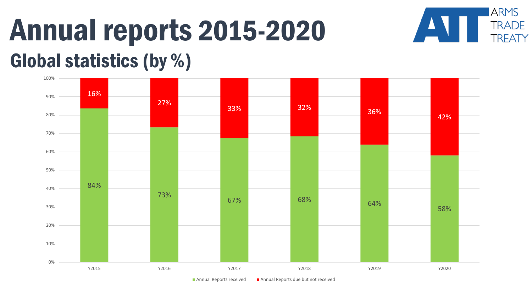### Annual reports 2015-2020 Global statistics (by %)



**ARMS** 

**TRADE** 

**TREATY** 

 $\blacksquare$  Annual Reports received  $\blacksquare$  Annual Reports due but not received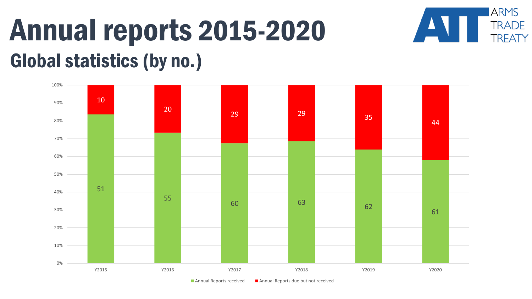## Annual reports 2015-2020 Global statistics (by no.)



**ARMS** 

**TRADE** 

**TREATY** 

Annual Reports received  $\Box$  Annual Reports due but not received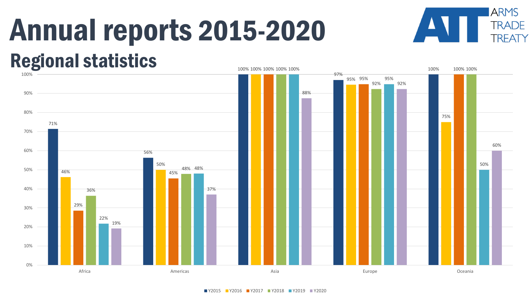# Annual reports 2015-2020



#### Regional statistics



Y2015 Y2016 Y2017 Y2018 Y2019 Y2020